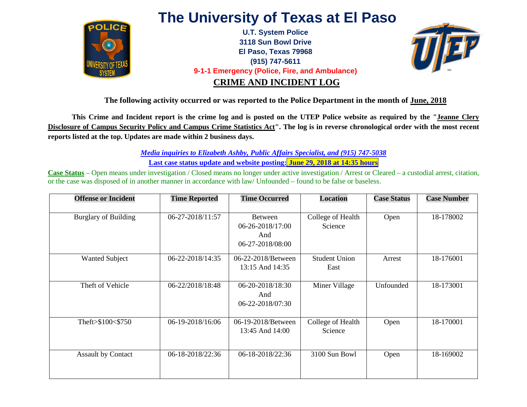

## **The University of Texas at El Paso**

**U.T. System Police 3118 Sun Bowl Drive El Paso, Texas 79968 (915) 747-5611 9-1-1 Emergency (Police, Fire, and Ambulance) CRIME AND INCIDENT LOG**



**The following activity occurred or was reported to the Police Department in the month of June, 2018**

**This Crime and Incident report is the crime log and is posted on the UTEP Police website as required by the "Jeanne Clery Disclosure of Campus Security Policy and Campus Crime Statistics Act". The log is in reverse chronological order with the most recent reports listed at the top. Updates are made within 2 business days.** 

> *Media inquiries to Elizabeth Ashby, Public Affairs Specialist, and (915) 747-5038*  **Last case status update and website posting: June 29, 2018 at 14:35 hours**

**Case Status** – Open means under investigation / Closed means no longer under active investigation / Arrest or Cleared – a custodial arrest, citation, or the case was disposed of in another manner in accordance with law/ Unfounded – found to be false or baseless.

| <b>Offense or Incident</b>  | <b>Time Reported</b> | <b>Time Occurred</b>                                   | <b>Location</b>              | <b>Case Status</b> | <b>Case Number</b> |
|-----------------------------|----------------------|--------------------------------------------------------|------------------------------|--------------------|--------------------|
| <b>Burglary of Building</b> | 06-27-2018/11:57     | Between<br>06-26-2018/17:00<br>And<br>06-27-2018/08:00 | College of Health<br>Science | Open               | 18-178002          |
| <b>Wanted Subject</b>       | 06-22-2018/14:35     | 06-22-2018/Between<br>13:15 And 14:35                  | <b>Student Union</b><br>East | Arrest             | 18-176001          |
| Theft of Vehicle            | 06-22/2018/18:48     | 06-20-2018/18:30<br>And<br>06-22-2018/07:30            | Miner Village                | Unfounded          | 18-173001          |
| Theft>\$100<\$750           | 06-19-2018/16:06     | 06-19-2018/Between<br>13:45 And 14:00                  | College of Health<br>Science | Open               | 18-170001          |
| <b>Assault by Contact</b>   | 06-18-2018/22:36     | 06-18-2018/22:36                                       | 3100 Sun Bowl                | Open               | 18-169002          |